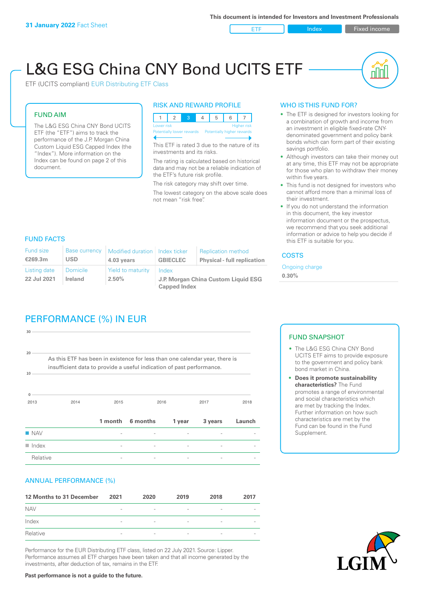ETF Index Fixed income

nl Inl

# L&G ESG China CNY Bond UCITS ETF

ETF (UCITS compliant) EUR Distributing ETF Class

#### FUND AIM

The L&G ESG China CNY Bond UCITS ETF (the "ETF") aims to track the performance of the J.P. Morgan China Custom Liquid ESG Capped Index (the "Index"). More information on the Index can be found on page 2 of this document.

#### RISK AND REWARD PROFILE



This ETF is rated 3 due to the nature of its investments and its risks.

The rating is calculated based on historical data and may not be a reliable indication of the ETF's future risk profile.

The risk category may shift over time. The lowest category on the above scale does not mean "risk free".

### WHO IS THIS FUND FOR?

- The ETF is designed for investors looking for a combination of growth and income from an investment in eligible fixed-rate CNYdenominated government and policy bank bonds which can form part of their existing savings portfolio.
- Although investors can take their money out at any time, this ETF may not be appropriate for those who plan to withdraw their money within five years.
- This fund is not designed for investors who cannot afford more than a minimal loss of their investment.
- If you do not understand the information in this document, the key investor information document or the prospectus, we recommend that you seek additional information or advice to help you decide if this ETF is suitable for you.

#### FUND FACTS

| <b>Fund size</b><br>€269.3m | <b>Base currency</b><br>USD | Modified duration   Index ticker<br>4.03 years | <b>GBIECLEC</b>                                            | <b>Replication method</b><br><b>Physical - full replication</b> | <b>COSTS</b>               |  |
|-----------------------------|-----------------------------|------------------------------------------------|------------------------------------------------------------|-----------------------------------------------------------------|----------------------------|--|
| Listing date<br>22 Jul 2021 | <b>Domicile</b><br>Ireland  | Yield to maturity<br>$2.50\%$                  | Index                                                      |                                                                 | Ongoing charge<br>$0.30\%$ |  |
|                             |                             |                                                | J.P. Morgan China Custom Liquid ESG<br><b>Capped Index</b> |                                                                 |                            |  |

# PERFORMANCE (%) IN EUR

| $\blacksquare$ Index  |                                                                                                                                                      |         |          |        |         |        |
|-----------------------|------------------------------------------------------------------------------------------------------------------------------------------------------|---------|----------|--------|---------|--------|
| <b>NAV</b>            |                                                                                                                                                      |         |          |        |         |        |
|                       |                                                                                                                                                      | 1 month | 6 months | 1 year | 3 years | Launch |
| $\Omega$<br>2013      | 2014                                                                                                                                                 | 2015    | 2016     |        | 2017    | 2018   |
| 10                    | As this ETF has been in existence for less than one calendar year, there is<br>insufficient data to provide a useful indication of past performance. |         |          |        |         |        |
| 30<br>20 <sup>1</sup> |                                                                                                                                                      |         |          |        |         |        |
|                       |                                                                                                                                                      |         |          |        |         |        |

#### ANNUAL PERFORMANCE (%)

| 12 Months to 31 December | 2021                     | 2020                     | 2019                     | 2018                     | 2017                     |
|--------------------------|--------------------------|--------------------------|--------------------------|--------------------------|--------------------------|
| <b>NAV</b>               | $\overline{\phantom{0}}$ | $\overline{\phantom{a}}$ | $\overline{\phantom{a}}$ | $\qquad \qquad$          |                          |
| Index                    | $\qquad \qquad$          | $\overline{\phantom{a}}$ | $\overline{\phantom{a}}$ | $\overline{\phantom{a}}$ | $\overline{\phantom{a}}$ |
| Relative                 | $\overline{\phantom{a}}$ | $\sim$                   | $\overline{\phantom{a}}$ | $\sim$                   | $\overline{\phantom{a}}$ |

Performance for the EUR Distributing ETF class, listed on 22 July 2021. Source: Lipper. Performance assumes all ETF charges have been taken and that all income generated by the investments, after deduction of tax, remains in the ETF.

#### FUND SNAPSHOT

- The L&G ESG China CNY Bond UCITS ETF aims to provide exposure to the government and policy bank bond market in China.
- **• Does it promote sustainability characteristics?** The Fund promotes a range of environmental and social characteristics which are met by tracking the Index. Further information on how such characteristics are met by the Fund can be found in the Fund Supplement.



**Past performance is not a guide to the future.**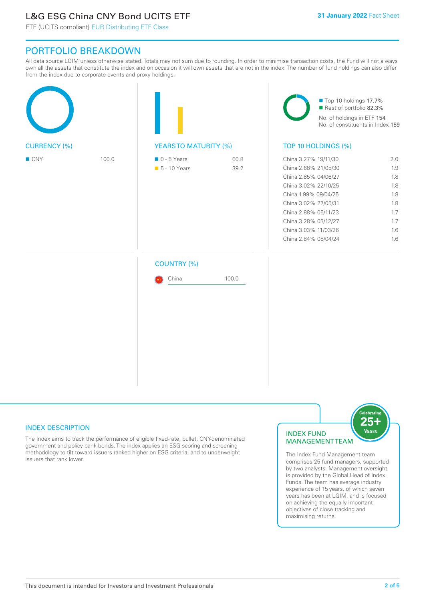# L&G ESG China CNY Bond UCITS ETF

ETF (UCITS compliant) EUR Distributing ETF Class

## PORTFOLIO BREAKDOWN

All data source LGIM unless otherwise stated. Totals may not sum due to rounding. In order to minimise transaction costs, the Fund will not always own all the assets that constitute the index and on occasion it will own assets that are not in the index. The number of fund holdings can also differ from the index due to corporate events and proxy holdings.

|                     |       |                                              |              | Top 10 holdings 17.7%<br>Rest of portfolio 82.3%<br>No. of holdings in ETF 154<br>No. of constituents in Index 159                                                                                                                           |                                                                    |  |
|---------------------|-------|----------------------------------------------|--------------|----------------------------------------------------------------------------------------------------------------------------------------------------------------------------------------------------------------------------------------------|--------------------------------------------------------------------|--|
| <b>CURRENCY (%)</b> |       | <b>YEARSTO MATURITY (%)</b>                  |              | TOP 10 HOLDINGS (%)                                                                                                                                                                                                                          |                                                                    |  |
| $\blacksquare$ CNY  | 100.0 | $\blacksquare$ 0 - 5 Years<br>• 5 - 10 Years | 60.8<br>39.2 | China 3.27% 19/11/30<br>China 2.68% 21/05/30<br>China 2.85% 04/06/27<br>China 3.02% 22/10/25<br>China 1.99% 09/04/25<br>China 3.02% 27/05/31<br>China 2.88% 05/11/23<br>China 3.28% 03/12/27<br>China 3.03% 11/03/26<br>China 2.84% 08/04/24 | 2.0<br>1.9<br>1.8<br>1.8<br>1.8<br>1.8<br>1.7<br>1.7<br>1.6<br>1.6 |  |
|                     |       | <b>COUNTRY (%)</b><br>China                  | 100.0        |                                                                                                                                                                                                                                              |                                                                    |  |

#### INDEX DESCRIPTION

The Index aims to track the performance of eligible fixed-rate, bullet, CNY-denominated government and policy bank bonds. The index applies an ESG scoring and screening methodology to tilt toward issuers ranked higher on ESG criteria, and to underweight issuers that rank lower.

#### INDEX FUND MANAGEMENT TEAM



The Index Fund Management team comprises 25 fund managers, supported by two analysts. Management oversight is provided by the Global Head of Index Funds. The team has average industry experience of 15 years, of which seven years has been at LGIM, and is focused on achieving the equally important objectives of close tracking and maximising returns.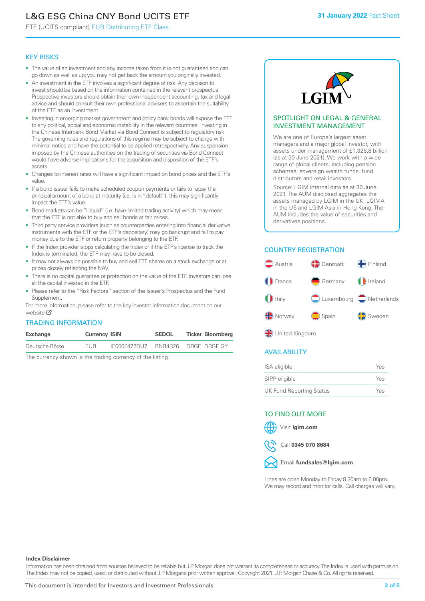# L&G ESG China CNY Bond UCITS ETF

ETF (UCITS compliant) EUR Distributing ETF Class

#### KEY RISKS

- The value of an investment and any income taken from it is not guaranteed and can go down as well as up; you may not get back the amount you originally invested.
- An investment in the ETF involves a significant degree of risk. Any decision to invest should be based on the information contained in the relevant prospectus. Prospective investors should obtain their own independent accounting, tax and legal advice and should consult their own professional advisers to ascertain the suitability of the ETF as an investment.
- Investing in emerging market government and policy bank bonds will expose the ETF to any political, social and economic instability in the relevant countries. Investing in the Chinese Interbank Bond Market via Bond Connect is subject to regulatory risk. The governing rules and regulations of this regime may be subject to change with minimal notice and have the potential to be applied retrospectively. Any suspension imposed by the Chinese authorities on the trading of securities via Bond Connect would have adverse implications for the acquisition and disposition of the ETF's assets.
- Changes to interest rates will have a significant impact on bond prices and the ETF's value.
- If a bond issuer fails to make scheduled coupon payments or fails to repay the principal amount of a bond at maturity (i.e. is in "default"), this may significantly impact the ETF's value.
- Bond markets can be "illiquid" (i.e. have limited trading activity) which may mean that the ETF is not able to buy and sell bonds at fair prices.
- Third party service providers (such as counterparties entering into financial derivative instruments with the ETF or the ETF's depositary) may go bankrupt and fail to pay money due to the ETF or return property belonging to the ETF.
- If the Index provider stops calculating the Index or if the ETF's license to track the Index is terminated, the ETF may have to be closed.
- It may not always be possible to buy and sell ETF shares on a stock exchange or at prices closely reflecting the NAV.
- There is no capital guarantee or protection on the value of the ETF. Investors can lose all the capital invested in the ETF.
- Please refer to the "Risk Factors" section of the Issuer's Prospectus and the Fund Supplement.

For mo[re inf](https://www.lgimetf.com/)ormation, please refer to the key investor information document on our website M

#### TRADING INFORMATION

| Exchange       | <b>Currency ISIN</b> |              | <b>SEDOL</b> | <b>Ticker Bloomberg</b> |
|----------------|----------------------|--------------|--------------|-------------------------|
| Deutsche Börse | <b>FUR</b>           | IE000F472DU7 |              | BNR4R26 DRGE DRGE GY    |

The currency shown is the trading currency of the listing.



#### SPOTLIGHT ON LEGAL & GENERAL INVESTMENT MANAGEMENT

We are one of Europe's largest asset managers and a major global investor, with assets under management of £1,326.8 billion (as at 30 June 2021). We work with a wide range of global clients, including pension schemes, sovereign wealth funds, fund distributors and retail investors.

Source: LGIM internal data as at 30 June 2021. The AUM disclosed aggregates the assets managed by LGIM in the UK, LGIMA in the US and LGIM Asia in Hong Kong. The AUM includes the value of securities and derivatives positions.

### COUNTRY REGISTRATION



**OR** United Kingdom

#### AVAILABILITY

| ISA eligible                    | Yes |
|---------------------------------|-----|
| SIPP eligible                   | Yes |
| <b>UK Fund Reporting Status</b> | Yes |

#### TO FIND OUT MORE





Call **0345 070 8684**



Lines are open Monday to Friday 8.30am to 6.00pm. We may record and monitor calls. Call charges will vary.

#### **Index Disclaimer**

Information has been obtained from sources believed to be reliable but J.P. Morgan does not warrant its completeness or accuracy. The Index is used with permission. The Index may not be copied, used, or distributed without J.P. Morgan's prior written approval. Copyright 2021, J.P. Morgan Chase & Co. All rights reserved.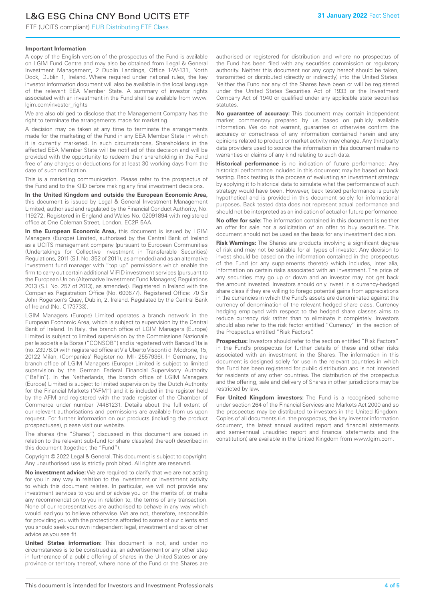# L&G ESG China CNY Bond UCITS ETF

ETF (UCITS compliant) EUR Distributing ETF Class

#### **Important Information**

A copy of the English version of the prospectus of the Fund is available on LGIM Fund Centre and may also be obtained from Legal & General Investment Management, 2 Dublin Landings, Office 1-W-131, North Dock, Dublin 1, Ireland. Where required under national rules, the key investor information document will also be available in the local language of the relevant EEA Member State. A summary of investor rights associated with an investment in the Fund shall be available from www. lgim.com/investor\_rights

We are also obliged to disclose that the Management Company has the right to terminate the arrangements made for marketing.

A decision may be taken at any time to terminate the arrangements made for the marketing of the Fund in any EEA Member State in which it is currently marketed. In such circumstances, Shareholders in the affected EEA Member State will be notified of this decision and will be provided with the opportunity to redeem their shareholding in the Fund free of any charges or deductions for at least 30 working days from the date of such notification.

This is a marketing communication. Please refer to the prospectus of the Fund and to the KIID before making any final investment decisions.

**In the United Kingdom and outside the European Economic Area,** this document is issued by Legal & General Investment Management Limited, authorised and regulated by the Financial Conduct Authority, No. 119272. Registered in England and Wales No. 02091894 with registered office at One Coleman Street, London, EC2R 5AA.

**In the European Economic Area,** this document is issued by LGIM Managers (Europe) Limited, authorised by the Central Bank of Ireland as a UCITS management company (pursuant to European Communities (Undertakings for Collective Investment in Transferable Securities) Regulations, 2011 (S.I. No. 352 of 2011), as amended) and as an alternative investment fund manager with "top up" permissions which enable the firm to carry out certain additional MiFID investment services (pursuant to the European Union (Alternative Investment Fund Managers) Regulations 2013 (S.I. No. 257 of 2013), as amended). Registered in Ireland with the Companies Registration Office (No. 609677). Registered Office: 70 Sir John Rogerson's Quay, Dublin, 2, Ireland. Regulated by the Central Bank of Ireland (No. C173733).

LGIM Managers (Europe) Limited operates a branch network in the European Economic Area, which is subject to supervision by the Central Bank of Ireland. In Italy, the branch office of LGIM Managers (Europe) Limited is subject to limited supervision by the Commissione Nazionale per le società e la Borsa ("CONSOB") and is registered with Banca d'Italia (no. 23978.0) with registered office at Via Uberto Visconti di Modrone, 15, 20122 Milan, (Companies' Register no. MI - 2557936). In Germany, the branch office of LGIM Managers (Europe) Limited is subject to limited supervision by the German Federal Financial Supervisory Authority ("BaFin"). In the Netherlands, the branch office of LGIM Managers (Europe) Limited is subject to limited supervision by the Dutch Authority for the Financial Markets ("AFM") and it is included in the register held by the AFM and registered with the trade register of the Chamber of Commerce under number 74481231. Details about the full extent of our relevant authorisations and permissions are available from us upon request. For further information on our products (including the product prospectuses), please visit our website.

The shares (the "Shares") discussed in this document are issued in relation to the relevant sub-fund (or share class(es) thereof) described in this document (together, the "Fund").

Copyright © 2022 Legal & General. This document is subject to copyright. Any unauthorised use is strictly prohibited. All rights are reserved.

**No investment advice:** We are required to clarify that we are not acting for you in any way in relation to the investment or investment activity to which this document relates. In particular, we will not provide any investment services to you and or advise you on the merits of, or make any recommendation to you in relation to, the terms of any transaction. None of our representatives are authorised to behave in any way which would lead you to believe otherwise. We are not, therefore, responsible for providing you with the protections afforded to some of our clients and you should seek your own independent legal, investment and tax or other advice as you see fit.

**United States information:** This document is not, and under no circumstances is to be construed as, an advertisement or any other step in furtherance of a public offering of shares in the United States or any province or territory thereof, where none of the Fund or the Shares are authorised or registered for distribution and where no prospectus of the Fund has been filed with any securities commission or regulatory authority. Neither this document nor any copy hereof should be taken, transmitted or distributed (directly or indirectly) into the United States. Neither the Fund nor any of the Shares have been or will be registered under the United States Securities Act of 1933 or the Investment Company Act of 1940 or qualified under any applicable state securities statutes.

**No guarantee of accuracy:** This document may contain independent market commentary prepared by us based on publicly available information. We do not warrant, guarantee or otherwise confirm the accuracy or correctness of any information contained herein and any opinions related to product or market activity may change. Any third party data providers used to source the information in this document make no warranties or claims of any kind relating to such data.

**Historical performance** is no indication of future performance: Any historical performance included in this document may be based on back testing. Back testing is the process of evaluating an investment strategy by applying it to historical data to simulate what the performance of such strategy would have been. However, back tested performance is purely hypothetical and is provided in this document solely for informational purposes. Back tested data does not represent actual performance and should not be interpreted as an indication of actual or future performance.

**No offer for sale:** The information contained in this document is neither an offer for sale nor a solicitation of an offer to buy securities. This document should not be used as the basis for any investment decision.

**Risk Warnings:** The Shares are products involving a significant degree of risk and may not be suitable for all types of investor. Any decision to invest should be based on the information contained in the prospectus of the Fund (or any supplements thereto) which includes, inter alia, information on certain risks associated with an investment. The price of any securities may go up or down and an investor may not get back the amount invested. Investors should only invest in a currency-hedged share class if they are willing to forego potential gains from appreciations in the currencies in which the Fund's assets are denominated against the currency of denomination of the relevant hedged share class. Currency hedging employed with respect to the hedged share classes aims to reduce currency risk rather than to eliminate it completely. Investors should also refer to the risk factor entitled "Currency" in the section of the Prospectus entitled "Risk Factors".

**Prospectus:** Investors should refer to the section entitled "Risk Factors" in the Fund's prospectus for further details of these and other risks associated with an investment in the Shares. The information in this document is designed solely for use in the relevant countries in which the Fund has been registered for public distribution and is not intended for residents of any other countries. The distribution of the prospectus and the offering, sale and delivery of Shares in other jurisdictions may be restricted by law.

**For United Kingdom investors:** The Fund is a recognised scheme under section 264 of the Financial Services and Markets Act 2000 and so the prospectus may be distributed to investors in the United Kingdom. Copies of all documents (i.e. the prospectus, the key investor information document, the latest annual audited report and financial statements and semi-annual unaudited report and financial statements and the constitution) are available in the United Kingdom from www.lgim.com.